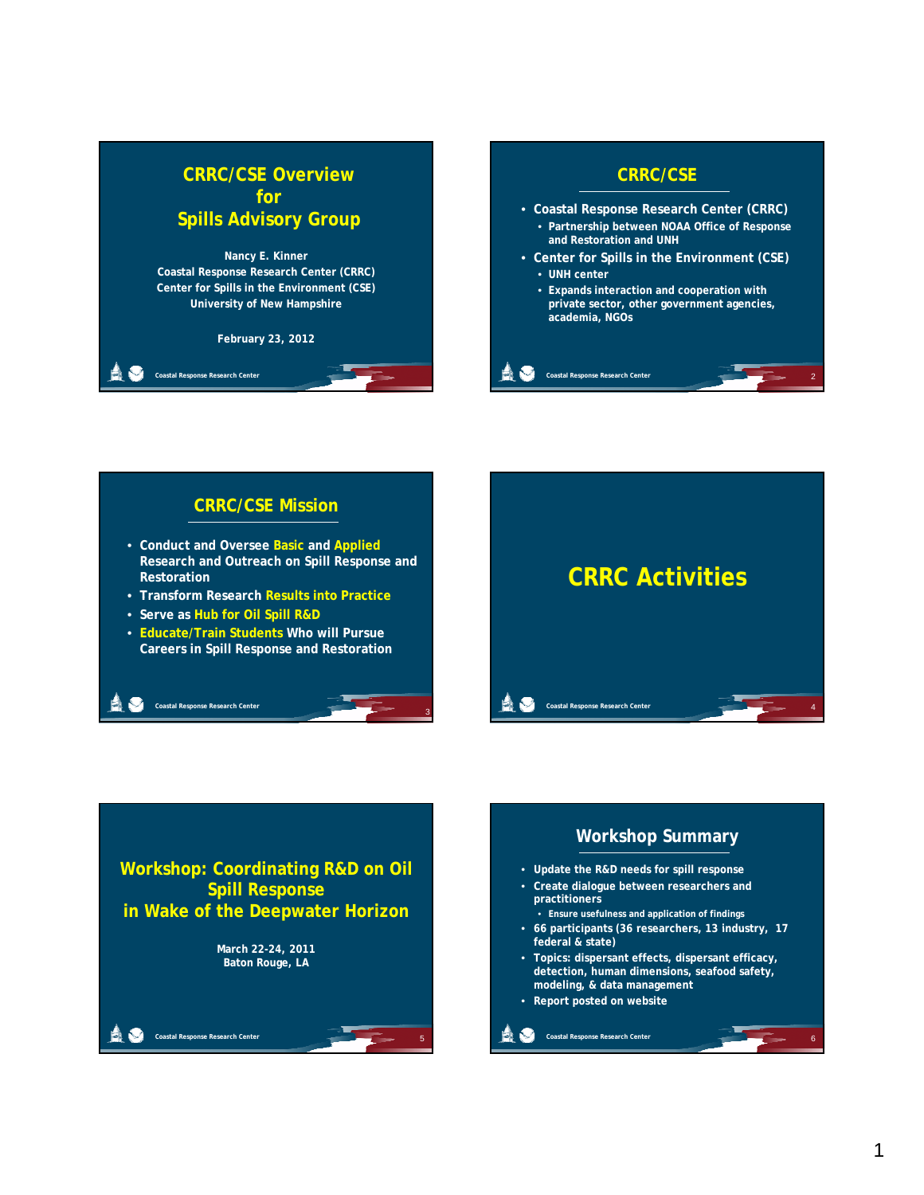









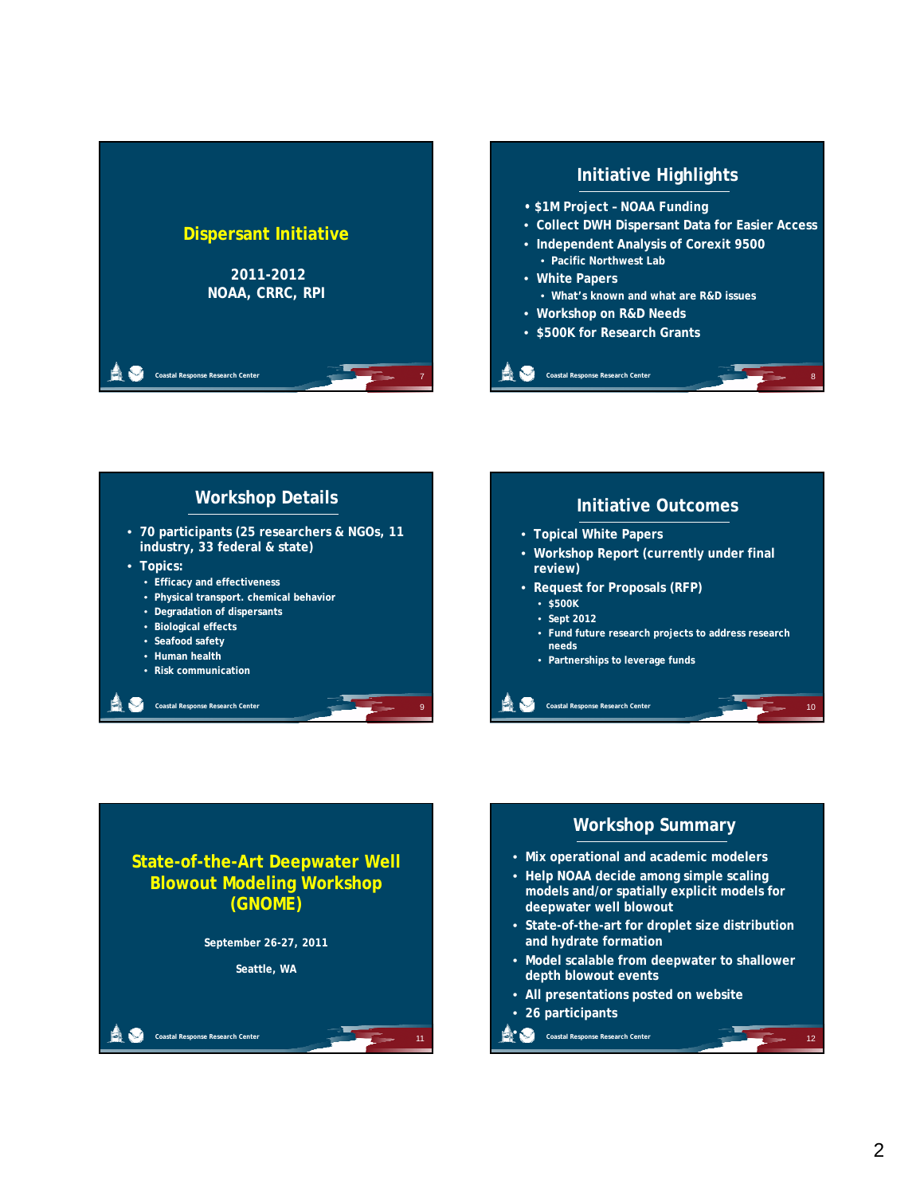









- **State-of-the-art for droplet size distribution State of the and hydrate formation**
- **Model scalable from deepwater to shallower depth blowout events**

**Coastal Response Research Center**<br>
• 12

- **All presentations posted on website**
- **26 participants**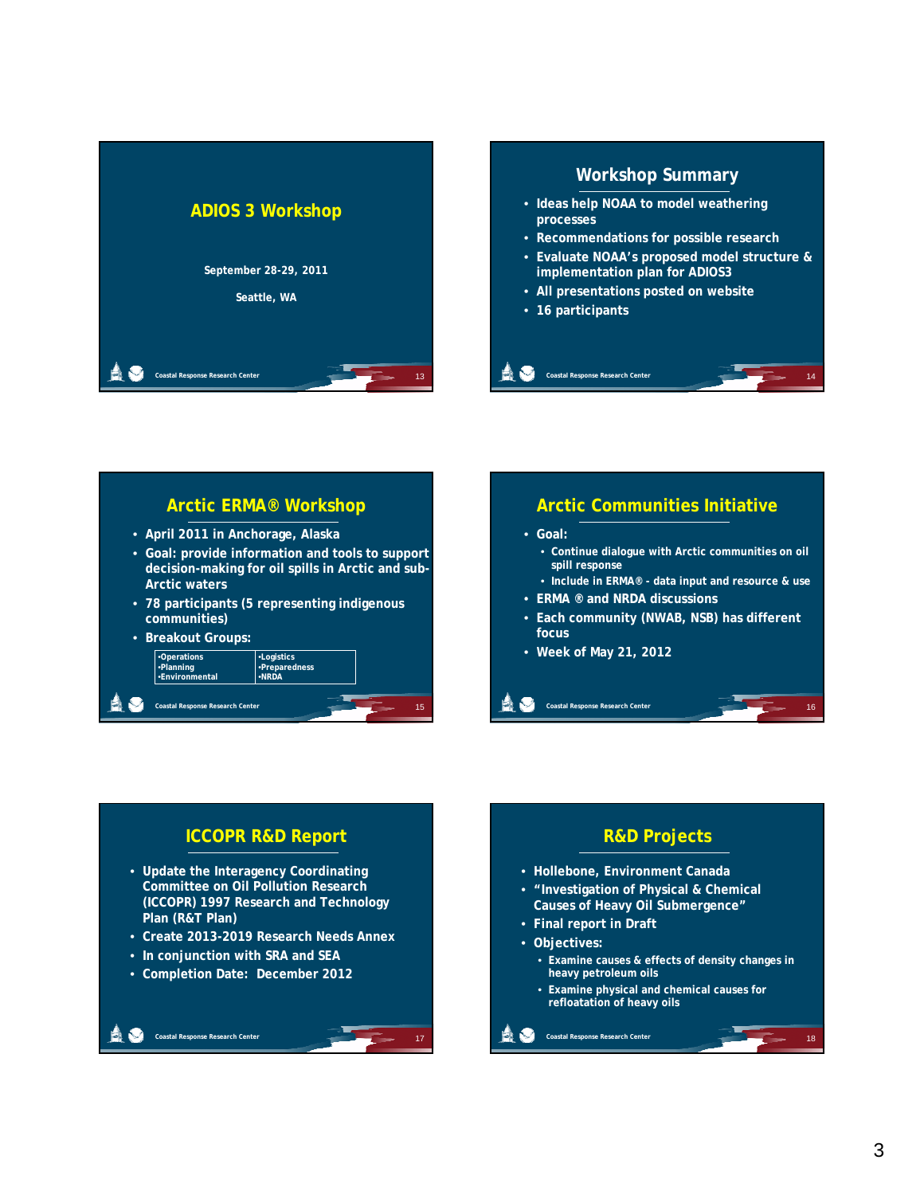





### **Arctic Communities Initiative**

- **Goal:** 
	- **Continue dialogue with Arctic communities on oil spill response**
	- **Include in ERMA® data input and resource & use**
- **ERMA ® and NRDA discussions**
- **Each community (NWAB, NSB) has different focus**
- **Week of May 21, 2012**

#### **ICCOPR R&D Report** • **Update the Interagency Coordinating Committee on Oil Pollution Research (ICCOPR) 1997 Research and Technology Plan (R&T Plan)** • **Create 2013-2019 Research Needs Annex** • **In conjunction with SRA and SEA** • **Completion Date: December 2012**

17

**Coastal Response Research Center** 

#### **R&D Projects** • **Hollebone, Environment Canada** • **"Investigation of Physical & Chemical Causes of Heavy Oil Submergence"** • **Final report in Draft Coastal Response Research Center** • **Objectives:** • **Examine causes & effects of density changes in heavy petroleum oils** • **Examine physical and chemical causes for refloatation of heavy oils** 18

16